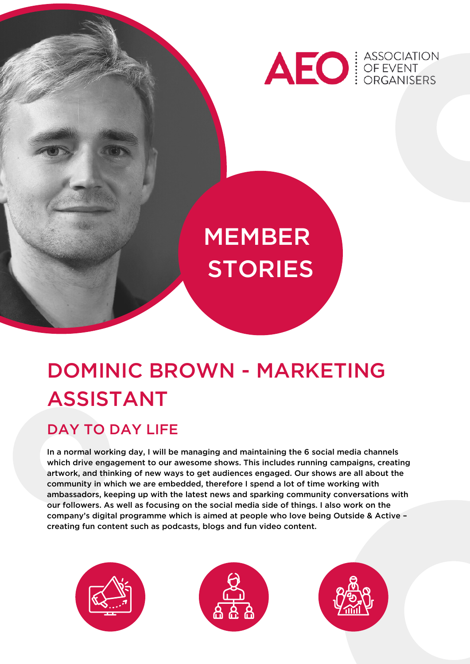

# MEMBER **STORIES**

# DOMINIC BROWN - MARKETING ASSISTANT

#### DAY TO DAY LIFE

In a normal working day, I will be managing and maintaining the 6 social media channels which drive engagement to our awesome shows. This includes running campaigns, creating artwork, and thinking of new ways to get audiences engaged. Our shows are all about the community in which we are embedded, therefore I spend a lot of time working with ambassadors, keeping up with the latest news and sparking community conversations with our followers. As well as focusing on the social media side of things. I also work on the company's digital programme which is aimed at people who love being Outside & Active – creating fun content such as podcasts, blogs and fun video content.